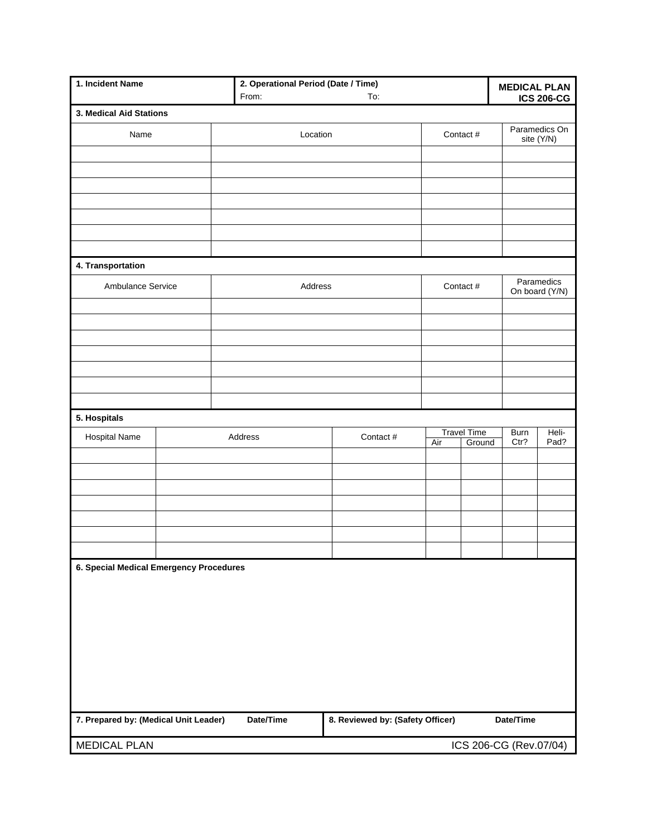| 1. Incident Name                                   |  | 2. Operational Period (Date / Time)<br>From: |                                               | To:       |                                     |  | <b>MEDICAL PLAN</b><br><b>ICS 206-CG</b> |                |  |
|----------------------------------------------------|--|----------------------------------------------|-----------------------------------------------|-----------|-------------------------------------|--|------------------------------------------|----------------|--|
| 3. Medical Aid Stations                            |  |                                              |                                               |           |                                     |  |                                          |                |  |
|                                                    |  |                                              |                                               |           |                                     |  |                                          | Paramedics On  |  |
| Name                                               |  | Location                                     |                                               |           | Contact #                           |  | site (Y/N)                               |                |  |
|                                                    |  |                                              |                                               |           |                                     |  |                                          |                |  |
|                                                    |  |                                              |                                               |           |                                     |  |                                          |                |  |
|                                                    |  |                                              |                                               |           |                                     |  |                                          |                |  |
|                                                    |  |                                              |                                               |           |                                     |  |                                          |                |  |
|                                                    |  |                                              |                                               |           |                                     |  |                                          |                |  |
|                                                    |  |                                              |                                               |           |                                     |  |                                          |                |  |
| 4. Transportation                                  |  |                                              |                                               |           |                                     |  |                                          |                |  |
| Ambulance Service                                  |  | Address                                      |                                               |           | Contact #                           |  |                                          | Paramedics     |  |
|                                                    |  |                                              |                                               |           |                                     |  |                                          | On board (Y/N) |  |
|                                                    |  |                                              |                                               |           |                                     |  |                                          |                |  |
|                                                    |  |                                              |                                               |           |                                     |  |                                          |                |  |
|                                                    |  |                                              |                                               |           |                                     |  |                                          |                |  |
|                                                    |  |                                              |                                               |           |                                     |  |                                          |                |  |
|                                                    |  |                                              |                                               |           |                                     |  |                                          |                |  |
|                                                    |  |                                              |                                               |           |                                     |  |                                          |                |  |
| 5. Hospitals                                       |  |                                              |                                               |           |                                     |  |                                          |                |  |
| <b>Hospital Name</b>                               |  | Address                                      |                                               | Contact # | <b>Travel Time</b><br>Air<br>Ground |  | <b>Burn</b><br>Ctr?                      | Heli-<br>Pad?  |  |
|                                                    |  |                                              |                                               |           |                                     |  |                                          |                |  |
|                                                    |  |                                              |                                               |           |                                     |  |                                          |                |  |
|                                                    |  |                                              |                                               |           |                                     |  |                                          |                |  |
|                                                    |  |                                              |                                               |           |                                     |  |                                          |                |  |
|                                                    |  |                                              |                                               |           |                                     |  |                                          |                |  |
|                                                    |  |                                              |                                               |           |                                     |  |                                          |                |  |
|                                                    |  |                                              |                                               |           |                                     |  |                                          |                |  |
| 6. Special Medical Emergency Procedures            |  |                                              |                                               |           |                                     |  |                                          |                |  |
|                                                    |  |                                              |                                               |           |                                     |  |                                          |                |  |
|                                                    |  |                                              |                                               |           |                                     |  |                                          |                |  |
|                                                    |  |                                              |                                               |           |                                     |  |                                          |                |  |
|                                                    |  |                                              |                                               |           |                                     |  |                                          |                |  |
|                                                    |  |                                              |                                               |           |                                     |  |                                          |                |  |
|                                                    |  |                                              |                                               |           |                                     |  |                                          |                |  |
|                                                    |  |                                              |                                               |           |                                     |  |                                          |                |  |
| 7. Prepared by: (Medical Unit Leader)<br>Date/Time |  |                                              | 8. Reviewed by: (Safety Officer)<br>Date/Time |           |                                     |  |                                          |                |  |
| <b>MEDICAL PLAN</b>                                |  |                                              | ICS 206-CG (Rev.07/04)                        |           |                                     |  |                                          |                |  |